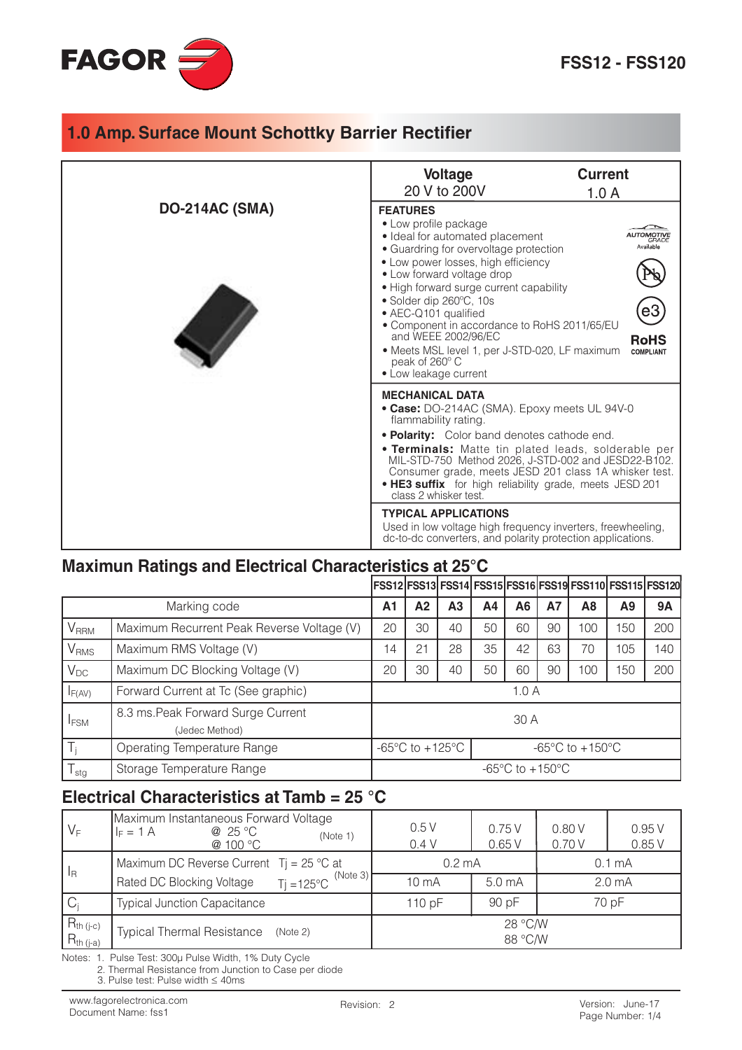

|                       | <b>Voltage</b><br>20 V to 200V                                                                                                                                                                                                                                                                                                                                                                                                                                                                  | <b>Current</b><br>1.0A |  |  |  |
|-----------------------|-------------------------------------------------------------------------------------------------------------------------------------------------------------------------------------------------------------------------------------------------------------------------------------------------------------------------------------------------------------------------------------------------------------------------------------------------------------------------------------------------|------------------------|--|--|--|
| <b>DO-214AC (SMA)</b> | <b>FEATURES</b><br>• Low profile package<br>· Ideal for automated placement<br>• Guardring for overvoltage protection<br>• Low power losses, high efficiency<br>• Low forward voltage drop<br>• High forward surge current capability<br>• Solder dip 260°C, 10s<br>• AEC-Q101 qualified<br>• Component in accordance to RoHS 2011/65/EU<br>and WEEE 2002/96/EC<br><b>RoHS</b><br>• Meets MSL level 1, per J-STD-020, LF maximum<br><b>COMPLIANT</b><br>peak of 260° C<br>• Low leakage current |                        |  |  |  |
|                       | <b>MECHANICAL DATA</b><br>• Case: DO-214AC (SMA). Epoxy meets UL 94V-0<br>flammability rating.<br>. Polarity: Color band denotes cathode end.<br>. Terminals: Matte tin plated leads, solderable per<br>MIL-STD-750 Method 2026, J-STD-002 and JESD22-B102.<br>Consumer grade, meets JESD 201 class 1A whisker test.<br>. HE3 suffix for high reliability grade, meets JESD 201<br>class 2 whisker test.<br><b>TYPICAL APPLICATIONS</b>                                                         |                        |  |  |  |
|                       | Used in low voltage high frequency inverters, freewheeling,<br>dc-to-dc converters, and polarity protection applications.                                                                                                                                                                                                                                                                                                                                                                       |                        |  |  |  |

#### Maximun Ratings and Electrical Characteristics at 25°C

|                  |                                                      |                                                                                              |                |                |    |    |           | FSS12 FSS13 FSS14 FSS15 FSS16 FSS19 FSS110 FSS115 FSS120 |     |           |
|------------------|------------------------------------------------------|----------------------------------------------------------------------------------------------|----------------|----------------|----|----|-----------|----------------------------------------------------------|-----|-----------|
| Marking code     |                                                      | A <sub>1</sub>                                                                               | A <sub>2</sub> | A <sub>3</sub> | A4 | A6 | <b>A7</b> | A8                                                       | A9  | <b>9A</b> |
| V <sub>RRM</sub> | Maximum Recurrent Peak Reverse Voltage (V)           | 20                                                                                           | 30             | 40             | 50 | 60 | 90        | 100                                                      | 150 | 200       |
| $\rm V_{RMS}$    | Maximum RMS Voltage (V)                              | 14                                                                                           | 21             | 28             | 35 | 42 | 63        | 70                                                       | 105 | 140       |
| $V_{DC}$         | Maximum DC Blocking Voltage (V)                      | 20                                                                                           | 30             | 40             | 50 | 60 | 90        | 100                                                      | 150 | 200       |
| $I_{F(AV)}$      | Forward Current at Tc (See graphic)                  | 1.0A                                                                                         |                |                |    |    |           |                                                          |     |           |
| <b>I</b> FSM     | 8.3 ms. Peak Forward Surge Current<br>(Jedec Method) | 30 A                                                                                         |                |                |    |    |           |                                                          |     |           |
| $T_i$            | Operating Temperature Range                          | $-65^{\circ}$ C to $+125^{\circ}$ C<br>-65 $\mathrm{^{\circ}C}$ to +150 $\mathrm{^{\circ}C}$ |                |                |    |    |           |                                                          |     |           |
| $T_{\text{stg}}$ | Storage Temperature Range                            | $-65^{\circ}$ C to $+150^{\circ}$ C                                                          |                |                |    |    |           |                                                          |     |           |

#### Electrical Characteristics at Tamb = 25 °C

| $V_F$                            | Maximum Instantaneous Forward Voltage<br>@ 25 °C<br>$I_F = 1 A$<br>(Note 1)<br>@ 100 °C | 0.5V<br>0.4V       | 0.75V<br>0.65V    | 0.80V<br>0.70 V    | 0.95V<br>0.85V |  |
|----------------------------------|-----------------------------------------------------------------------------------------|--------------------|-------------------|--------------------|----------------|--|
| $\vert$ <sub>R</sub>             | Maximum DC Reverse Current $Tj = 25$ °C at                                              | $0.2 \text{ mA}$   |                   | 0.1 <sub>mA</sub>  |                |  |
|                                  | (Note 3)<br>$Ti = 125^{\circ}C$<br>Rated DC Blocking Voltage                            | 10 <sub>m</sub> A  | 5.0 <sub>mA</sub> | 2.0 <sub>m</sub> A |                |  |
| $C_i$                            | <b>Typical Junction Capacitance</b>                                                     | 110 pF             | 90 pF             | 70 pF              |                |  |
| $R_{th (j-c)}$<br>$R_{th (j-a)}$ | <b>Typical Thermal Resistance</b><br>(Note 2)                                           | 28 °C/W<br>88 °C/W |                   |                    |                |  |

Notes: 1. Pulse Test: 300µ Pulse Width, 1% Duty Cycle

2. Thermal Resistance from Junction to Case per diode

3. Pulse test: Pulse width  $\leq$  40ms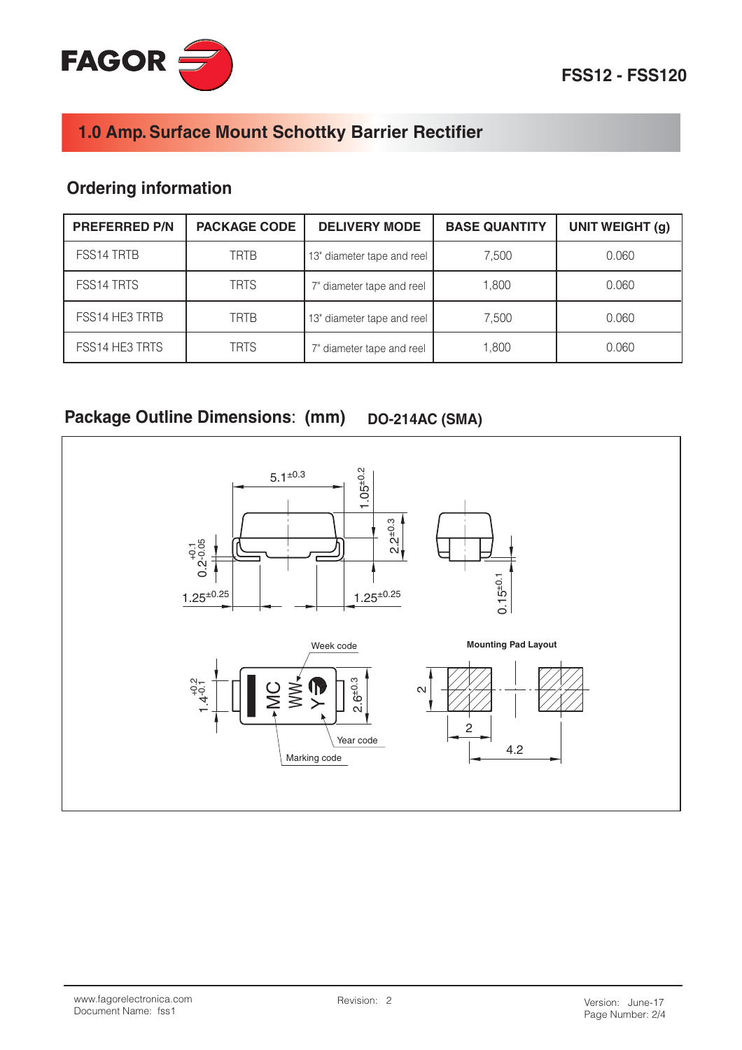

## **Ordering information**

| <b>PREFERRED P/N</b> | <b>PACKAGE CODE</b> | <b>DELIVERY MODE</b>       | <b>BASE QUANTITY</b> | <b>UNIT WEIGHT (g)</b> |
|----------------------|---------------------|----------------------------|----------------------|------------------------|
| FSS14 TRTB           | <b>TRTB</b>         | 13" diameter tape and reel | 7,500                | 0.060                  |
| FSS14 TRTS           | <b>TRTS</b>         | 7" diameter tape and reel  | 1,800                | 0.060                  |
| FSS14 HE3 TRTB       | <b>TRTB</b>         | 13" diameter tape and reel | 7,500                | 0.060                  |
| FSS14 HE3 TRTS       | <b>TRTS</b>         | 7" diameter tape and reel  | 1,800                | 0.060                  |

#### Package Outline Dimensions: (mm) **DO-214AC (SMA)**

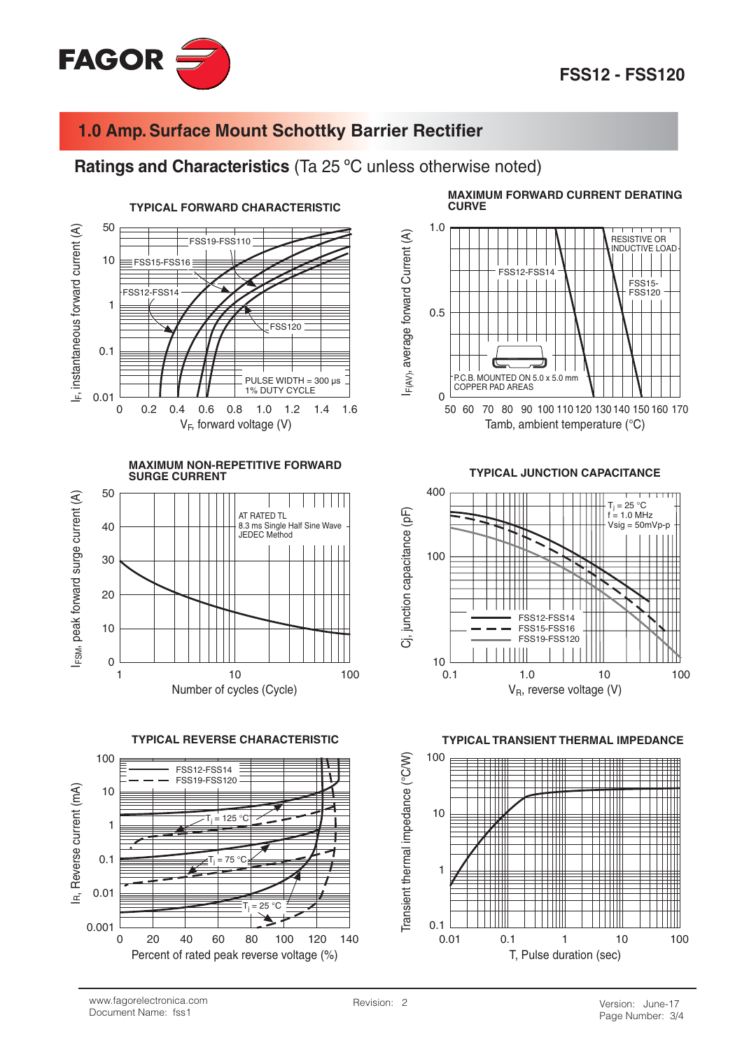

#### Ratings and Characteristics (Ta 25 °C unless otherwise noted)



**MAXIMUM NON-REPETITIVE FORWARD SURGE CURRENT** 



**TYPICAL REVERSE CHARACTERISTIC** 

![](_page_2_Figure_8.jpeg)

**MAXIMUM FORWARD CURRENT DERATING CURVE** 

![](_page_2_Figure_10.jpeg)

**TYPICAL JUNCTION CAPACITANCE** 

![](_page_2_Figure_12.jpeg)

**TYPICAL TRANSIENT THERMAL IMPEDANCE** 

![](_page_2_Figure_14.jpeg)